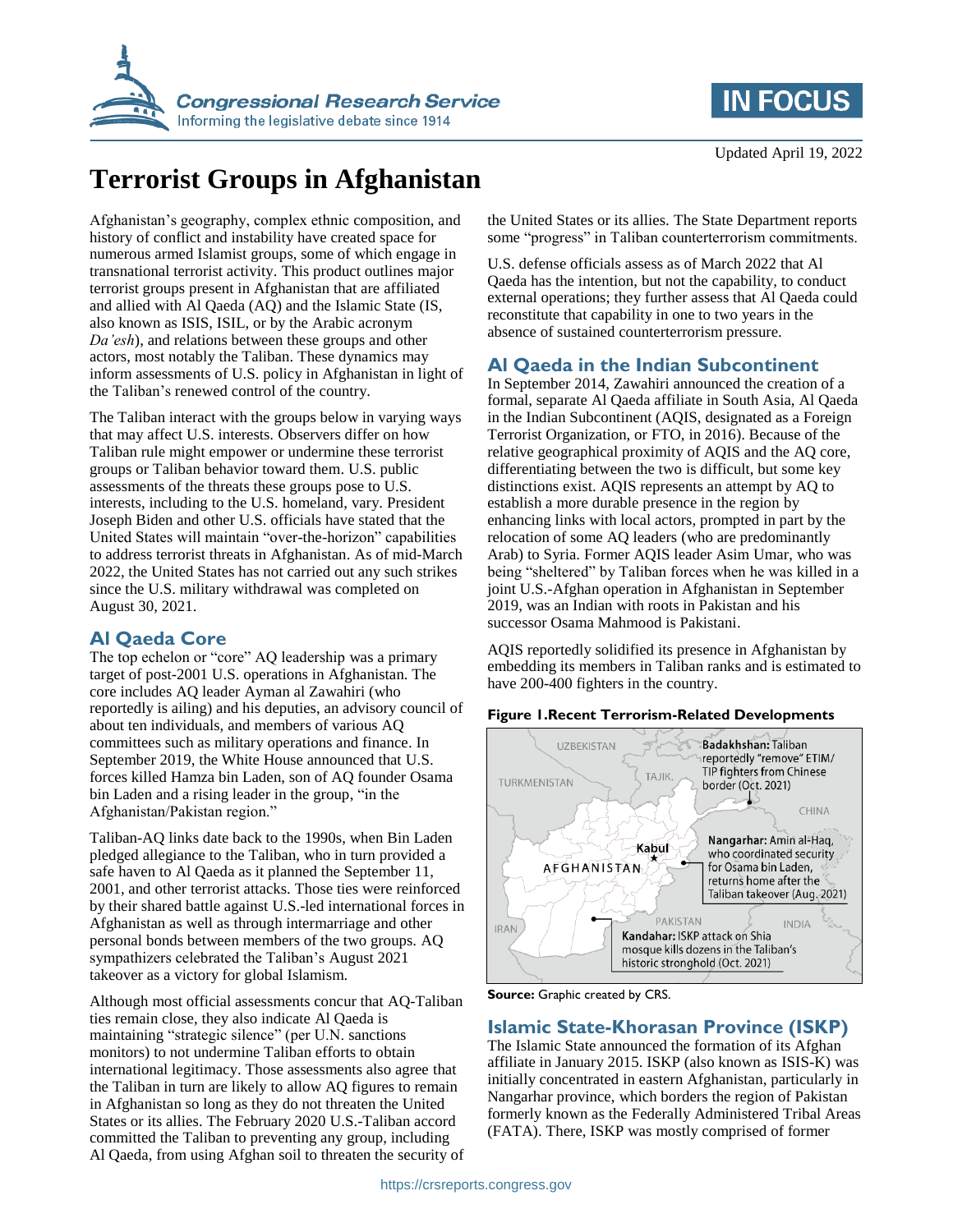



# **Terrorist Groups in Afghanistan**

Afghanistan's geography, complex ethnic composition, and history of conflict and instability have created space for numerous armed Islamist groups, some of which engage in transnational terrorist activity. This product outlines major terrorist groups present in Afghanistan that are affiliated and allied with Al Qaeda (AQ) and the Islamic State (IS, also known as ISIS, ISIL, or by the Arabic acronym *Da'esh*), and relations between these groups and other actors, most notably the Taliban. These dynamics may inform assessments of U.S. policy in Afghanistan in light of the Taliban's renewed control of the country.

The Taliban interact with the groups below in varying ways that may affect U.S. interests. Observers differ on how Taliban rule might empower or undermine these terrorist groups or Taliban behavior toward them. U.S. public assessments of the threats these groups pose to U.S. interests, including to the U.S. homeland, vary. President Joseph Biden and other U.S. officials have stated that the United States will maintain "over-the-horizon" capabilities to address terrorist threats in Afghanistan. As of mid-March 2022, the United States has not carried out any such strikes since the U.S. military withdrawal was completed on August 30, 2021.

### **Al Qaeda Core**

The top echelon or "core" AQ leadership was a primary target of post-2001 U.S. operations in Afghanistan. The core includes AQ leader Ayman al Zawahiri (who reportedly is ailing) and his deputies, an advisory council of about ten individuals, and members of various AQ committees such as military operations and finance. In September 2019, the White House announced that U.S. forces killed Hamza bin Laden, son of AQ founder Osama bin Laden and a rising leader in the group, "in the Afghanistan/Pakistan region."

Taliban-AQ links date back to the 1990s, when Bin Laden pledged allegiance to the Taliban, who in turn provided a safe haven to Al Qaeda as it planned the September 11, 2001, and other terrorist attacks. Those ties were reinforced by their shared battle against U.S.-led international forces in Afghanistan as well as through intermarriage and other personal bonds between members of the two groups. AQ sympathizers celebrated the Taliban's August 2021 takeover as a victory for global Islamism.

Although most official assessments concur that AQ-Taliban ties remain close, they also indicate Al Qaeda is maintaining "strategic silence" (per U.N. sanctions monitors) to not undermine Taliban efforts to obtain international legitimacy. Those assessments also agree that the Taliban in turn are likely to allow AQ figures to remain in Afghanistan so long as they do not threaten the United States or its allies. The February 2020 U.S.-Taliban accord committed the Taliban to preventing any group, including Al Qaeda, from using Afghan soil to threaten the security of the United States or its allies. The State Department reports some "progress" in Taliban counterterrorism commitments.

U.S. defense officials assess as of March 2022 that Al Qaeda has the intention, but not the capability, to conduct external operations; they further assess that Al Qaeda could reconstitute that capability in one to two years in the absence of sustained counterterrorism pressure.

## **Al Qaeda in the Indian Subcontinent**

In September 2014, Zawahiri announced the creation of a formal, separate Al Qaeda affiliate in South Asia, Al Qaeda in the Indian Subcontinent (AQIS, designated as a Foreign Terrorist Organization, or FTO, in 2016). Because of the relative geographical proximity of AQIS and the AQ core, differentiating between the two is difficult, but some key distinctions exist. AQIS represents an attempt by AQ to establish a more durable presence in the region by enhancing links with local actors, prompted in part by the relocation of some AQ leaders (who are predominantly Arab) to Syria. Former AQIS leader Asim Umar, who was being "sheltered" by Taliban forces when he was killed in a joint U.S.-Afghan operation in Afghanistan in September 2019, was an Indian with roots in Pakistan and his successor Osama Mahmood is Pakistani.

AQIS reportedly solidified its presence in Afghanistan by embedding its members in Taliban ranks and is estimated to have 200-400 fighters in the country.

#### **Figure 1.Recent Terrorism-Related Developments**



**Source:** Graphic created by CRS.

### **Islamic State-Khorasan Province (ISKP)**

The Islamic State announced the formation of its Afghan affiliate in January 2015. ISKP (also known as ISIS-K) was initially concentrated in eastern Afghanistan, particularly in Nangarhar province, which borders the region of Pakistan formerly known as the Federally Administered Tribal Areas (FATA). There, ISKP was mostly comprised of former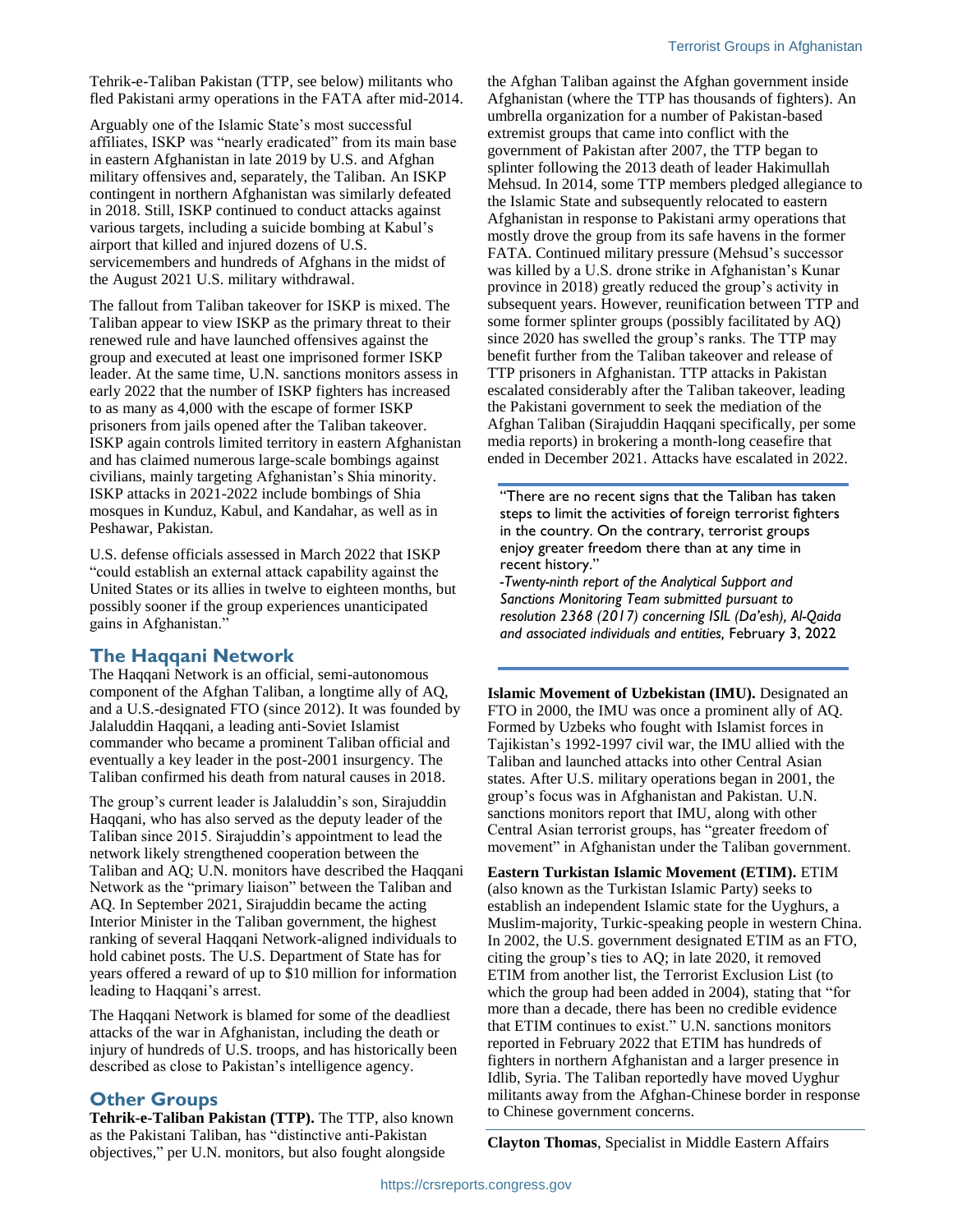Tehrik-e-Taliban Pakistan (TTP, see below) militants who fled Pakistani army operations in the FATA after mid-2014.

Arguably one of the Islamic State's most successful affiliates, ISKP was "nearly eradicated" from its main base in eastern Afghanistan in late 2019 by U.S. and Afghan military offensives and, separately, the Taliban. An ISKP contingent in northern Afghanistan was similarly defeated in 2018. Still, ISKP continued to conduct attacks against various targets, including a suicide bombing at Kabul's airport that killed and injured dozens of U.S. servicemembers and hundreds of Afghans in the midst of the August 2021 U.S. military withdrawal.

The fallout from Taliban takeover for ISKP is mixed. The Taliban appear to view ISKP as the primary threat to their renewed rule and have launched offensives against the group and executed at least one imprisoned former ISKP leader. At the same time, U.N. sanctions monitors assess in early 2022 that the number of ISKP fighters has increased to as many as 4,000 with the escape of former ISKP prisoners from jails opened after the Taliban takeover. ISKP again controls limited territory in eastern Afghanistan and has claimed numerous large-scale bombings against civilians, mainly targeting Afghanistan's Shia minority. ISKP attacks in 2021-2022 include bombings of Shia mosques in Kunduz, Kabul, and Kandahar, as well as in Peshawar, Pakistan.

U.S. defense officials assessed in March 2022 that ISKP "could establish an external attack capability against the United States or its allies in twelve to eighteen months, but possibly sooner if the group experiences unanticipated gains in Afghanistan."

#### **The Haqqani Network**

The Haqqani Network is an official, semi-autonomous component of the Afghan Taliban, a longtime ally of AQ, and a U.S.-designated FTO (since 2012). It was founded by Jalaluddin Haqqani, a leading anti-Soviet Islamist commander who became a prominent Taliban official and eventually a key leader in the post-2001 insurgency. The Taliban confirmed his death from natural causes in 2018.

The group's current leader is Jalaluddin's son, Sirajuddin Haqqani, who has also served as the deputy leader of the Taliban since 2015. Sirajuddin's appointment to lead the network likely strengthened cooperation between the Taliban and AQ; U.N. monitors have described the Haqqani Network as the "primary liaison" between the Taliban and AQ. In September 2021, Sirajuddin became the acting Interior Minister in the Taliban government, the highest ranking of several Haqqani Network-aligned individuals to hold cabinet posts. The U.S. Department of State has for years offered a reward of up to \$10 million for information leading to Haqqani's arrest.

The Haqqani Network is blamed for some of the deadliest attacks of the war in Afghanistan, including the death or injury of hundreds of U.S. troops, and has historically been described as close to Pakistan's intelligence agency.

#### **Other Groups**

**Tehrik-e-Taliban Pakistan (TTP).** The TTP, also known as the Pakistani Taliban, has "distinctive anti-Pakistan objectives," per U.N. monitors, but also fought alongside

the Afghan Taliban against the Afghan government inside Afghanistan (where the TTP has thousands of fighters). An umbrella organization for a number of Pakistan-based extremist groups that came into conflict with the government of Pakistan after 2007, the TTP began to splinter following the 2013 death of leader Hakimullah Mehsud. In 2014, some TTP members pledged allegiance to the Islamic State and subsequently relocated to eastern Afghanistan in response to Pakistani army operations that mostly drove the group from its safe havens in the former FATA. Continued military pressure (Mehsud's successor was killed by a U.S. drone strike in Afghanistan's Kunar province in 2018) greatly reduced the group's activity in subsequent years. However, reunification between TTP and some former splinter groups (possibly facilitated by AQ) since 2020 has swelled the group's ranks. The TTP may benefit further from the Taliban takeover and release of TTP prisoners in Afghanistan. TTP attacks in Pakistan escalated considerably after the Taliban takeover, leading the Pakistani government to seek the mediation of the Afghan Taliban (Sirajuddin Haqqani specifically, per some media reports) in brokering a month-long ceasefire that ended in December 2021. Attacks have escalated in 2022.

"There are no recent signs that the Taliban has taken steps to limit the activities of foreign terrorist fighters in the country. On the contrary, terrorist groups enjoy greater freedom there than at any time in recent history."

*-Twenty-ninth report of the Analytical Support and Sanctions Monitoring Team submitted pursuant to resolution 2368 (2017) concerning ISIL (Da'esh), Al-Qaida and associated individuals and entities,* February 3, 2022

**Islamic Movement of Uzbekistan (IMU).** Designated an FTO in 2000, the IMU was once a prominent ally of AQ. Formed by Uzbeks who fought with Islamist forces in Tajikistan's 1992-1997 civil war, the IMU allied with the Taliban and launched attacks into other Central Asian states. After U.S. military operations began in 2001, the group's focus was in Afghanistan and Pakistan. U.N. sanctions monitors report that IMU, along with other Central Asian terrorist groups, has "greater freedom of movement" in Afghanistan under the Taliban government.

**Eastern Turkistan Islamic Movement (ETIM).** ETIM (also known as the Turkistan Islamic Party) seeks to establish an independent Islamic state for the Uyghurs, a Muslim-majority, Turkic-speaking people in western China. In 2002, the U.S. government designated ETIM as an FTO, citing the group's ties to AQ; in late 2020, it removed ETIM from another list, the Terrorist Exclusion List (to which the group had been added in 2004), stating that "for more than a decade, there has been no credible evidence that ETIM continues to exist." U.N. sanctions monitors reported in February 2022 that ETIM has hundreds of fighters in northern Afghanistan and a larger presence in Idlib, Syria. The Taliban reportedly have moved Uyghur militants away from the Afghan-Chinese border in response to Chinese government concerns.

**Clayton Thomas**, Specialist in Middle Eastern Affairs